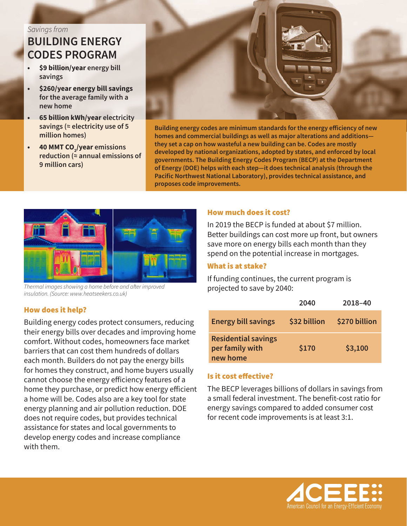# *Savings from* **BUILDING ENERGY CODES PROGRAM**

- **• \$9 billion/year energy bill savings**
- **• \$260/year energy bill savings for the average family with a new home**
- **• 65 billion kWh/year electricity savings (≈ electricity use of 5 million homes)**
- **• 40 MMT CO2 /year emissions reduction (≈ annual emissions of 9 million cars)**



**Building energy codes are minimum standards for the energy efficiency of new homes and commercial buildings as well as major alterations and additions they set a cap on how wasteful a new building can be. Codes are mostly developed by national organizations, adopted by states, and enforced by local governments. The Building Energy Codes Program (BECP) at the Department of Energy (DOE) helps with each step—it does technical analysis (through the Pacific Northwest National Laboratory), provides technical assistance, and proposes code improvements.**



*Thermal images showing a home before and after improved insulation. (Source: www.heatseekers.co.uk)*

### How much does it cost?

In 2019 the BECP is funded at about \$7 million. Better buildings can cost more up front, but owners save more on energy bills each month than they spend on the potential increase in mortgages.

#### What is at stake?

If funding continues, the current program is projected to save by 2040:

|                                                           | 2040         | 2018-40       |
|-----------------------------------------------------------|--------------|---------------|
| <b>Energy bill savings</b>                                | \$32 billion | \$270 billion |
| <b>Residential savings</b><br>per family with<br>new home | \$170        | \$3,100       |

### Is it cost effective?

The BECP leverages billions of dollars in savings from a small federal investment. The benefit-cost ratio for energy savings compared to added consumer cost for recent code improvements is at least 3:1.



#### How does it help?

Building energy codes protect consumers, reducing their energy bills over decades and improving home comfort. Without codes, homeowners face market barriers that can cost them hundreds of dollars each month. Builders do not pay the energy bills for homes they construct, and home buyers usually cannot choose the energy efficiency features of a home they purchase, or predict how energy efficient a home will be. Codes also are a key tool for state energy planning and air pollution reduction. DOE does not require codes, but provides technical assistance for states and local governments to develop energy codes and increase compliance with them.